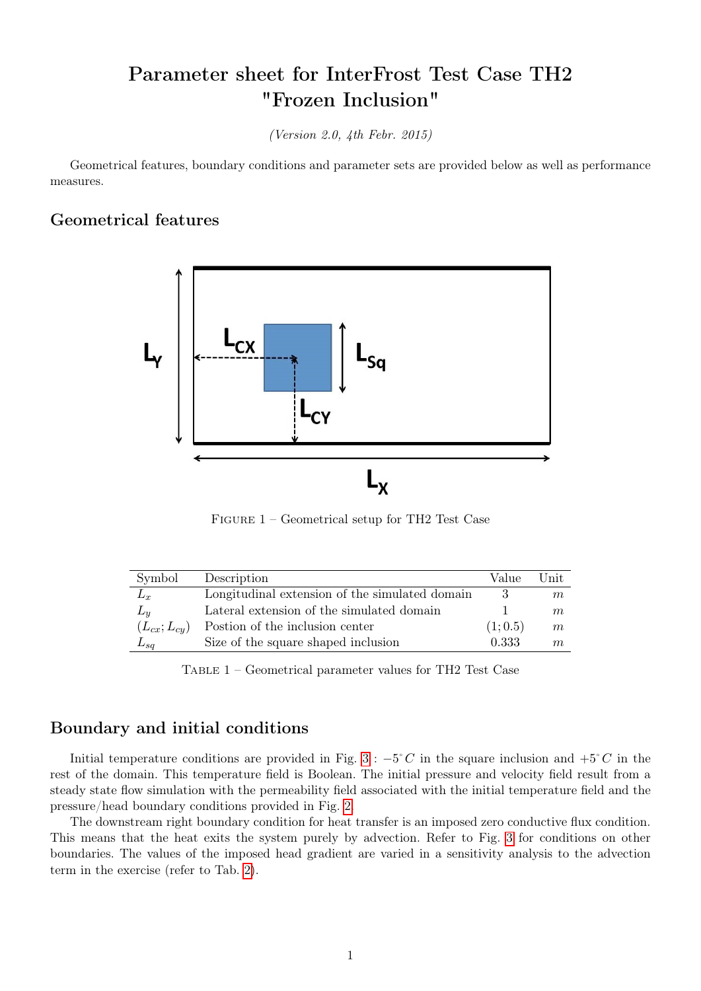# Parameter sheet for InterFrost Test Case TH2 "Frozen Inclusion"

(Version 2.0, 4th Febr. 2015)

Geometrical features, boundary conditions and parameter sets are provided below as well as performance measures.

#### Geometrical features



Figure 1 – Geometrical setup for TH2 Test Case

| Symbol            | Description                                    | Value   | Unit |
|-------------------|------------------------------------------------|---------|------|
| $L_r$             | Longitudinal extension of the simulated domain |         | m    |
| $L_y$             | Lateral extension of the simulated domain      |         | m    |
| $(L_{cx};L_{cy})$ | Postion of the inclusion center                | (1;0.5) | m    |
| $L_{sq}$          | Size of the square shaped inclusion            | 0.333   | m    |

Table 1 – Geometrical parameter values for TH2 Test Case

#### Boundary and initial conditions

Initial temperature conditions are provided in Fig. [3](#page-1-0) :  $-5\degree C$  in the square inclusion and  $+5\degree C$  in the rest of the domain. This temperature field is Boolean. The initial pressure and velocity field result from a steady state flow simulation with the permeability field associated with the initial temperature field and the pressure/head boundary conditions provided in Fig. [2.](#page-1-1)

The downstream right boundary condition for heat transfer is an imposed zero conductive flux condition. This means that the heat exits the system purely by advection. Refer to Fig. [3](#page-1-0) for conditions on other boundaries. The values of the imposed head gradient are varied in a sensitivity analysis to the advection term in the exercise (refer to Tab. [2\)](#page-1-2).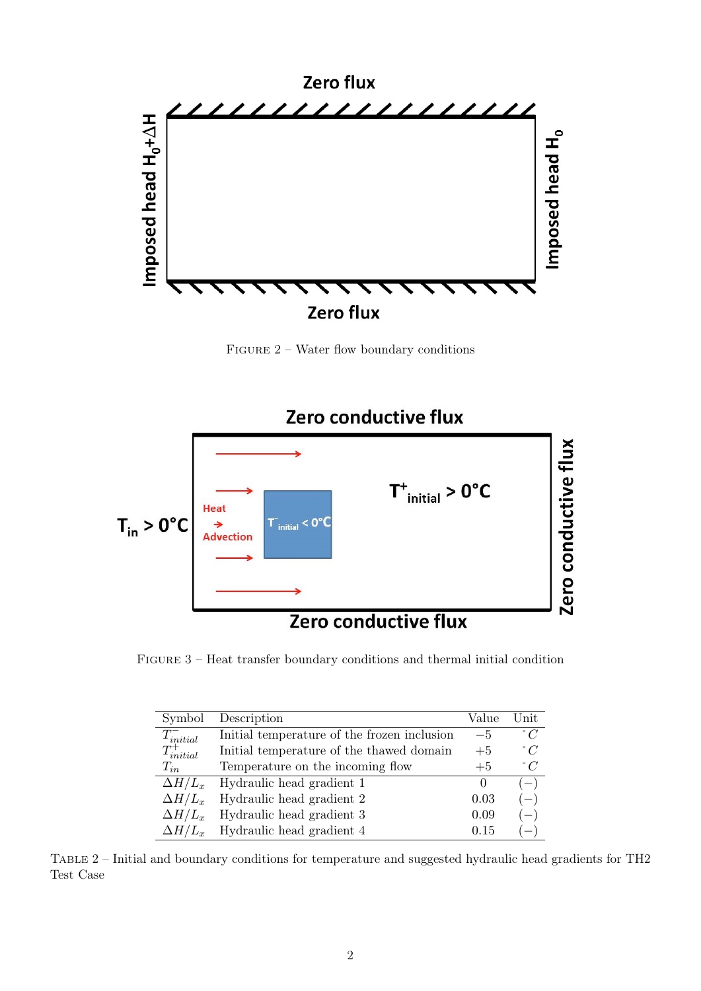<span id="page-1-1"></span>

FIGURE 2 – Water flow boundary conditions

<span id="page-1-0"></span>

<span id="page-1-2"></span>FIGURE 3 – Heat transfer boundary conditions and thermal initial condition

| Symbol            | Description                                 | Value | Unit        |
|-------------------|---------------------------------------------|-------|-------------|
| $T_{initial}^-$   | Initial temperature of the frozen inclusion | $-5$  | $\degree$ C |
| $T_{initial}^{+}$ | Initial temperature of the thawed domain    | $+5$  | $\degree$ C |
| $T_{in}$          | Temperature on the incoming flow            | $+5$  | $\degree$ C |
| $\Delta H/L_x$    | Hydraulic head gradient 1                   | 0     | $-1$        |
| $\Delta H/L_x$    | Hydraulic head gradient 2                   | 0.03  | $(-)$       |
| $\Delta H/L_x$    | Hydraulic head gradient 3                   | 0.09  | $(-)$       |
| $\Delta H/L_r$    | Hydraulic head gradient 4                   | 0.15  |             |

Table 2 – Initial and boundary conditions for temperature and suggested hydraulic head gradients for TH2 Test Case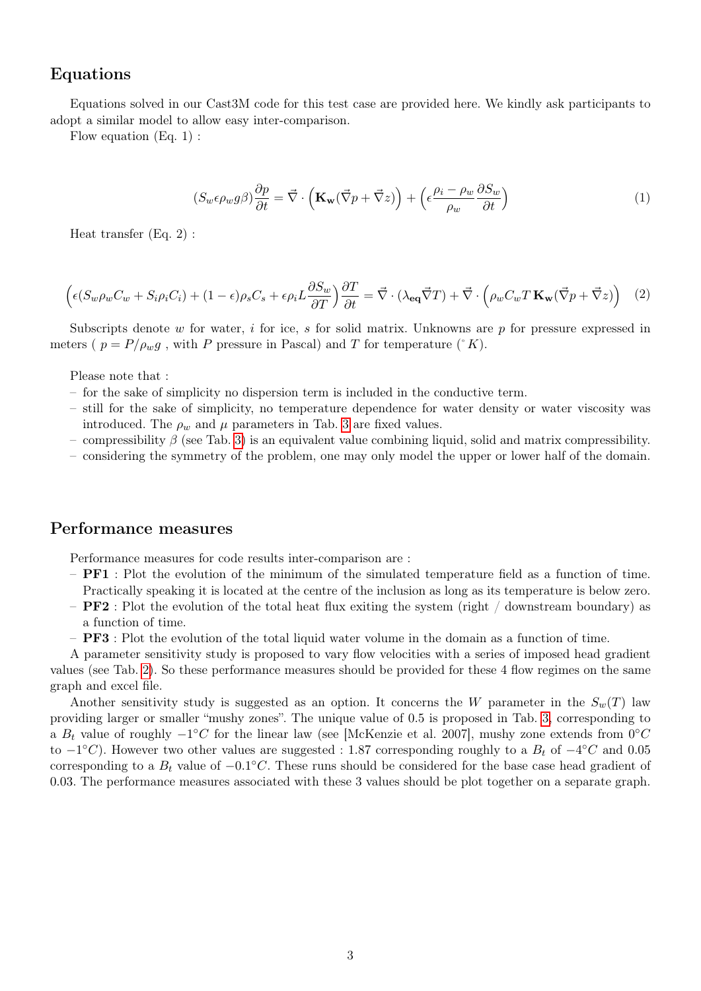### Equations

Equations solved in our Cast3M code for this test case are provided here. We kindly ask participants to adopt a similar model to allow easy inter-comparison.

Flow equation (Eq. 1) :

$$
(S_w \epsilon \rho_w g \beta) \frac{\partial p}{\partial t} = \vec{\nabla} \cdot \left( \mathbf{K_w} (\vec{\nabla} p + \vec{\nabla} z) \right) + \left( \epsilon \frac{\rho_i - \rho_w}{\rho_w} \frac{\partial S_w}{\partial t} \right) \tag{1}
$$

Heat transfer (Eq. 2) :

$$
\left(\epsilon(S_w \rho_w C_w + S_i \rho_i C_i) + (1 - \epsilon)\rho_s C_s + \epsilon \rho_i L \frac{\partial S_w}{\partial T}\right) \frac{\partial T}{\partial t} = \vec{\nabla} \cdot (\lambda_{\mathbf{eq}} \vec{\nabla} T) + \vec{\nabla} \cdot \left(\rho_w C_w T \mathbf{K_w} (\vec{\nabla} p + \vec{\nabla} z)\right) \tag{2}
$$

Subscripts denote w for water, i for ice, s for solid matrix. Unknowns are  $p$  for pressure expressed in meters (  $p = P/\rho_w g$ , with P pressure in Pascal) and T for temperature (°K).

Please note that :

- for the sake of simplicity no dispersion term is included in the conductive term.
- still for the sake of simplicity, no temperature dependence for water density or water viscosity was introduced. The  $\rho_w$  and  $\mu$  parameters in Tab. [3](#page-3-0) are fixed values.
- compressibility  $\beta$  (see Tab. [3\)](#page-3-0) is an equivalent value combining liquid, solid and matrix compressibility.
- considering the symmetry of the problem, one may only model the upper or lower half of the domain.

#### Performance measures

Performance measures for code results inter-comparison are :

- $-$  **PF1** : Plot the evolution of the minimum of the simulated temperature field as a function of time. Practically speaking it is located at the centre of the inclusion as long as its temperature is below zero.
- **PF2**: Plot the evolution of the total heat flux exiting the system (right / downstream boundary) as a function of time.
- PF3 : Plot the evolution of the total liquid water volume in the domain as a function of time.

A parameter sensitivity study is proposed to vary flow velocities with a series of imposed head gradient values (see Tab. [2\)](#page-1-2). So these performance measures should be provided for these 4 flow regimes on the same graph and excel file.

Another sensitivity study is suggested as an option. It concerns the W parameter in the  $S_w(T)$  law providing larger or smaller "mushy zones". The unique value of 0.5 is proposed in Tab. [3,](#page-3-0) corresponding to a  $B_t$  value of roughly  $-1^{\circ}C$  for the linear law (see [McKenzie et al. 2007], mushy zone extends from  $0^{\circ}C$ to  $-1^{\circ}C$ ). However two other values are suggested : 1.87 corresponding roughly to a  $B_t$  of  $-4^{\circ}C$  and 0.05 corresponding to a  $B_t$  value of  $-0.1^{\circ}C$ . These runs should be considered for the base case head gradient of 0.03. The performance measures associated with these 3 values should be plot together on a separate graph.